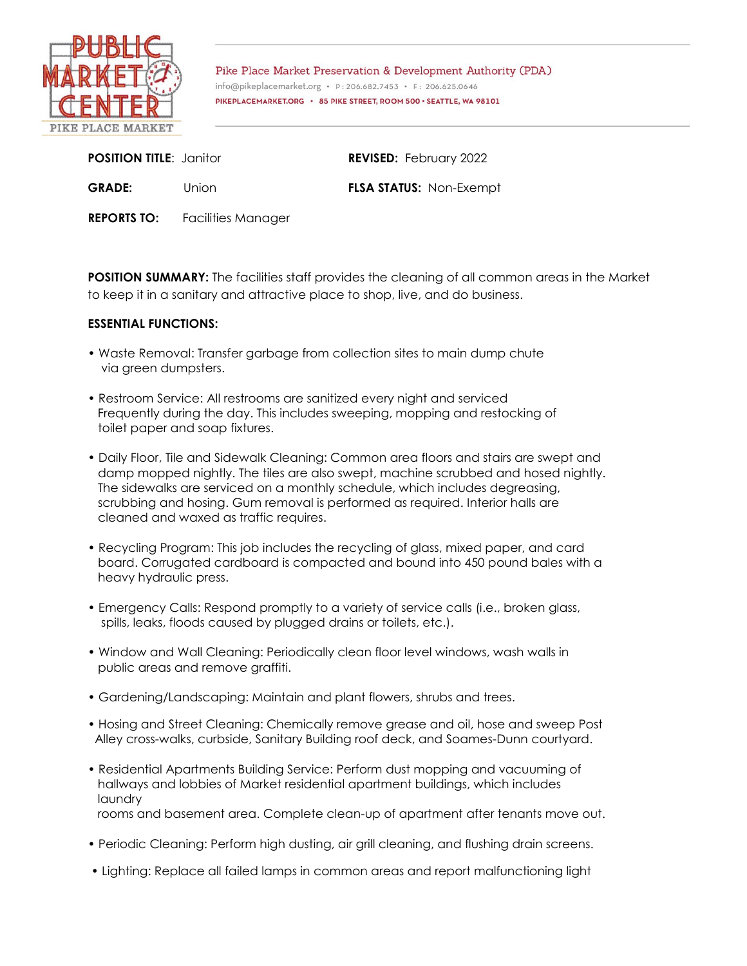

Pike Place Market Preservation & Development Authority (PDA) info@pikeplacemarket.org · P:206.682.7453 · F: 206.625.0646 PIKEPLACEMARKET.ORG · 85 PIKE STREET, ROOM 500 · SEATTLE, WA 98101

| <b>POSITION TITLE: Janitor</b> |       | <b>REVISED:</b> February 2022  |
|--------------------------------|-------|--------------------------------|
| <b>GRADE:</b>                  | Union | <b>FLSA STATUS: Non-Exempt</b> |

**REPORTS TO:** Facilities Manager

**POSITION SUMMARY:** The facilities staff provides the cleaning of all common areas in the Market to keep it in a sanitary and attractive place to shop, live, and do business.

## **ESSENTIAL FUNCTIONS:**

- Waste Removal: Transfer garbage from collection sites to main dump chute via green dumpsters.
- Restroom Service: All restrooms are sanitized every night and serviced Frequently during the day. This includes sweeping, mopping and restocking of toilet paper and soap fixtures.
- Daily Floor, Tile and Sidewalk Cleaning: Common area floors and stairs are swept and damp mopped nightly. The tiles are also swept, machine scrubbed and hosed nightly. The sidewalks are serviced on a monthly schedule, which includes degreasing, scrubbing and hosing. Gum removal is performed as required. Interior halls are cleaned and waxed as traffic requires.
- Recycling Program: This job includes the recycling of glass, mixed paper, and card board. Corrugated cardboard is compacted and bound into 450 pound bales with a heavy hydraulic press.
- Emergency Calls: Respond promptly to a variety of service calls (i.e., broken glass, spills, leaks, floods caused by plugged drains or toilets, etc.).
- Window and Wall Cleaning: Periodically clean floor level windows, wash walls in public areas and remove graffiti.
- Gardening/Landscaping: Maintain and plant flowers, shrubs and trees.
- Hosing and Street Cleaning: Chemically remove grease and oil, hose and sweep Post Alley cross-walks, curbside, Sanitary Building roof deck, and Soames-Dunn courtyard.
- Residential Apartments Building Service: Perform dust mopping and vacuuming of hallways and lobbies of Market residential apartment buildings, which includes laundry rooms and basement area. Complete clean-up of apartment after tenants move out.
- Periodic Cleaning: Perform high dusting, air grill cleaning, and flushing drain screens.
- Lighting: Replace all failed lamps in common areas and report malfunctioning light